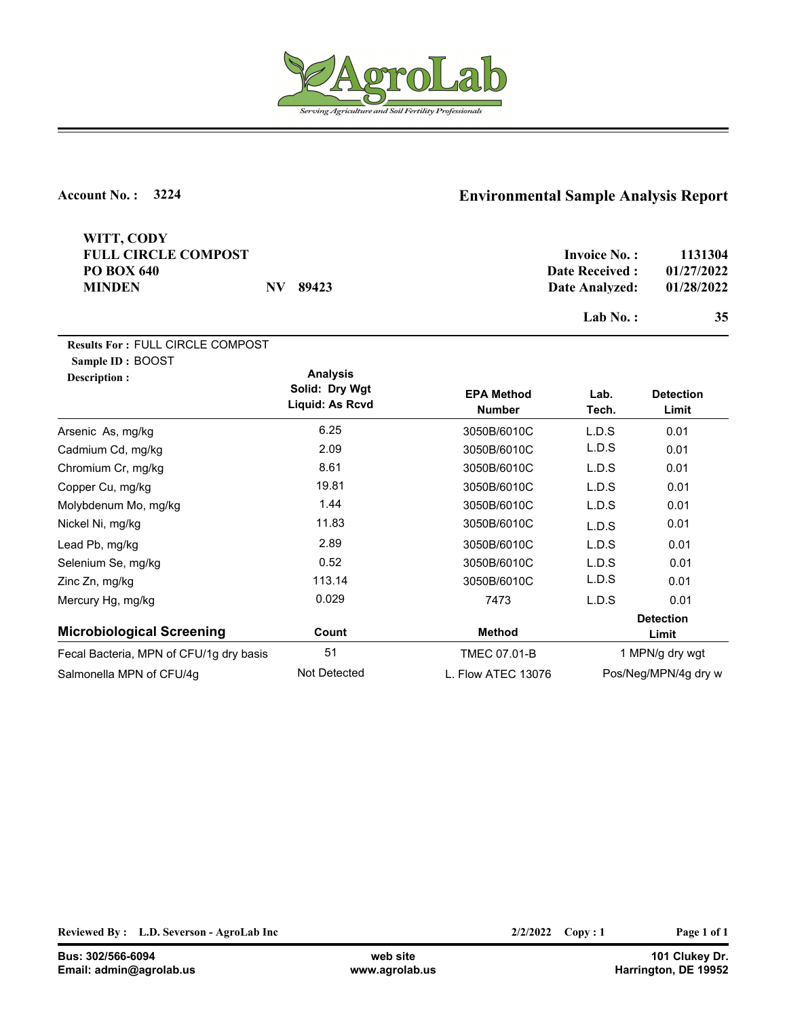

| WITT, CODY<br><b>FULL CIRCLE COMPOST</b><br><b>PO BOX 640</b><br><b>MINDEN</b> | $\bf NV$<br>89423                                    |                                    | <b>Invoice No.:</b><br><b>Date Received:</b><br>Date Analyzed:<br>Lab $No.$ : | 1131304<br>01/27/2022<br>01/28/2022<br>35 |
|--------------------------------------------------------------------------------|------------------------------------------------------|------------------------------------|-------------------------------------------------------------------------------|-------------------------------------------|
| <b>Results For: FULL CIRCLE COMPOST</b><br>Sample ID: BOOST<br>Description :   | <b>Analysis</b><br>Solid: Dry Wgt<br>Liquid: As Rcvd | <b>EPA Method</b><br><b>Number</b> | Lab.<br>Tech.                                                                 | <b>Detection</b><br>Limit                 |
| Arsenic As, mg/kg                                                              | 6.25                                                 | 3050B/6010C                        | L.D.S                                                                         | 0.01                                      |
| Cadmium Cd, mg/kg                                                              | 2.09                                                 | 3050B/6010C                        | L.D.S                                                                         | 0.01                                      |
| Chromium Cr, mg/kg                                                             | 8.61                                                 | 3050B/6010C                        | L.D.S                                                                         | 0.01                                      |
| Copper Cu, mg/kg                                                               | 19.81                                                | 3050B/6010C                        | L.D.S                                                                         | 0.01                                      |
| Molybdenum Mo, mg/kg                                                           | 1.44                                                 | 3050B/6010C                        | L.D.S                                                                         | 0.01                                      |
| Nickel Ni, mg/kg                                                               | 11.83                                                | 3050B/6010C                        | L.D.S                                                                         | 0.01                                      |
| Lead Pb, mg/kg                                                                 | 2.89                                                 | 3050B/6010C                        | L.D.S                                                                         | 0.01                                      |
| Selenium Se, mg/kg                                                             | 0.52                                                 | 3050B/6010C                        | L.D.S                                                                         | 0.01                                      |
| Zinc Zn, mg/kg                                                                 | 113.14                                               | 3050B/6010C                        | L.D.S                                                                         | 0.01                                      |
| Mercury Hg, mg/kg                                                              | 0.029                                                | 7473                               | L.D.S                                                                         | 0.01                                      |
| <b>Microbiological Screening</b>                                               | Count                                                | <b>Method</b>                      | <b>Detection</b><br>Limit                                                     |                                           |
| Fecal Bacteria, MPN of CFU/1g dry basis                                        | 51                                                   | <b>TMEC 07.01-B</b>                | 1 MPN/g dry wgt                                                               |                                           |
| Salmonella MPN of CFU/4g                                                       | Not Detected                                         | L. Flow ATEC 13076                 |                                                                               | Pos/Neg/MPN/4g dry w                      |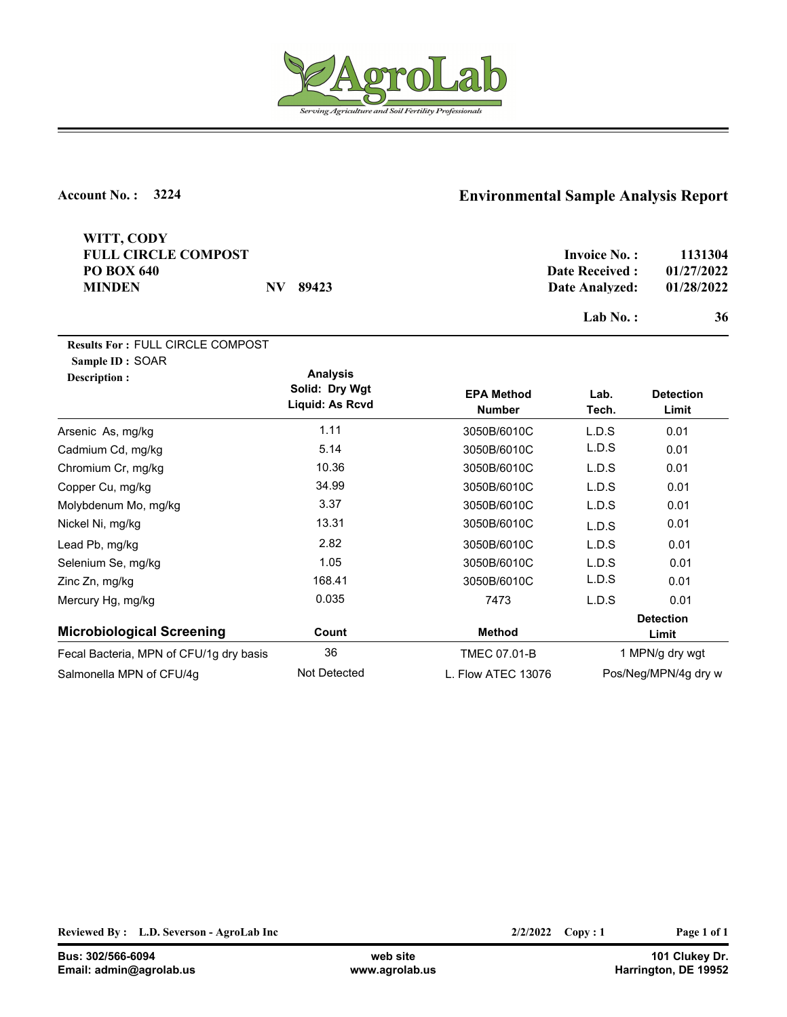

| WITT, CODY<br><b>FULL CIRCLE COMPOST</b><br><b>PO BOX 640</b><br><b>MINDEN</b> | 89423<br>$N\!V$                                      |                                    | <b>Invoice No.:</b><br><b>Date Received:</b><br>Date Analyzed:<br>Lab $No.$ : | 1131304<br>01/27/2022<br>01/28/2022<br>36 |
|--------------------------------------------------------------------------------|------------------------------------------------------|------------------------------------|-------------------------------------------------------------------------------|-------------------------------------------|
| <b>Results For: FULL CIRCLE COMPOST</b><br>Sample ID: SOAR<br>Description:     | <b>Analysis</b><br>Solid: Dry Wgt<br>Liquid: As Rcvd | <b>EPA Method</b><br><b>Number</b> | Lab.<br>Tech.                                                                 | <b>Detection</b><br>Limit                 |
| Arsenic As, mg/kg                                                              | 1.11                                                 | 3050B/6010C                        | L.D.S                                                                         | 0.01                                      |
| Cadmium Cd, mg/kg                                                              | 5.14                                                 | 3050B/6010C                        | L.D.S                                                                         | 0.01                                      |
| Chromium Cr, mg/kg                                                             | 10.36                                                | 3050B/6010C                        | L.D.S                                                                         | 0.01                                      |
| Copper Cu, mg/kg                                                               | 34.99                                                | 3050B/6010C                        | L.D.S                                                                         | 0.01                                      |
| Molybdenum Mo, mg/kg                                                           | 3.37                                                 | 3050B/6010C                        | L.D.S                                                                         | 0.01                                      |
| Nickel Ni, mg/kg                                                               | 13.31                                                | 3050B/6010C                        | L.D.S                                                                         | 0.01                                      |
| Lead Pb, mg/kg                                                                 | 2.82                                                 | 3050B/6010C                        | L.D.S                                                                         | 0.01                                      |
| Selenium Se, mg/kg                                                             | 1.05                                                 | 3050B/6010C                        | L.D.S                                                                         | 0.01                                      |
| Zinc Zn, mg/kg                                                                 | 168.41                                               | 3050B/6010C                        | L.D.S                                                                         | 0.01                                      |
| Mercury Hg, mg/kg                                                              | 0.035                                                | 7473                               | L.D.S                                                                         | 0.01                                      |
| <b>Microbiological Screening</b>                                               | Count                                                | <b>Method</b>                      | <b>Detection</b><br>Limit                                                     |                                           |
| Fecal Bacteria, MPN of CFU/1g dry basis                                        | 36                                                   | <b>TMEC 07.01-B</b>                | 1 MPN/g dry wgt                                                               |                                           |
| Salmonella MPN of CFU/4q                                                       | Not Detected                                         | L. Flow ATEC 13076                 |                                                                               | Pos/Neg/MPN/4g dry w                      |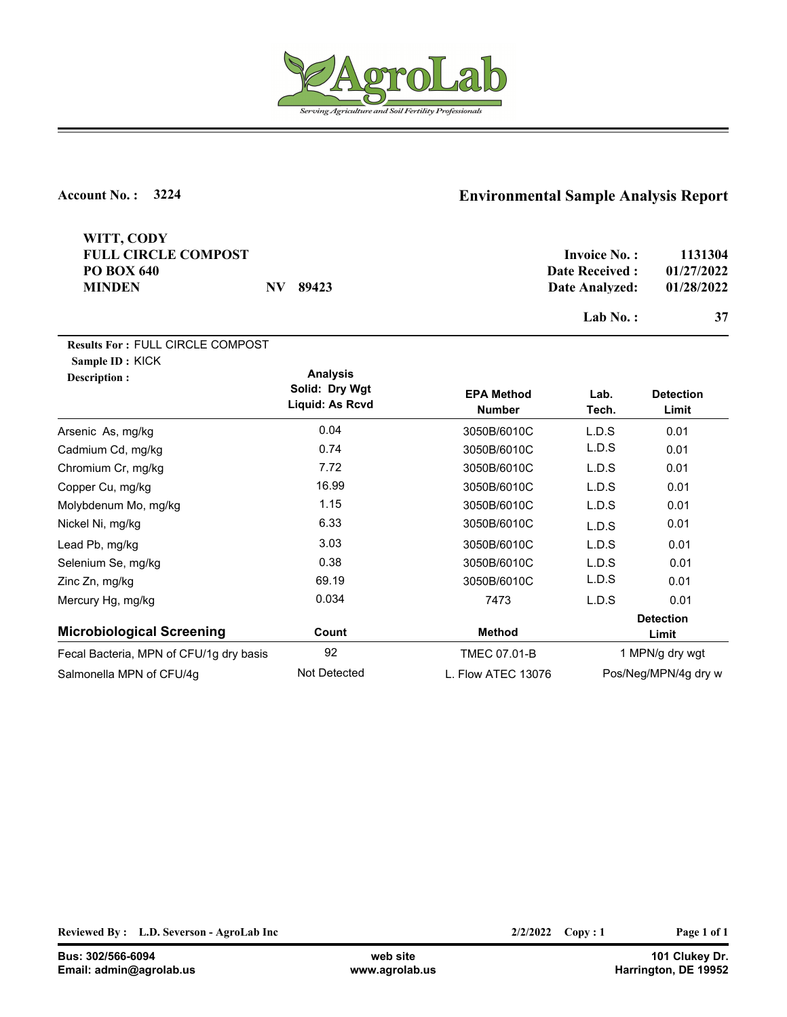

| WITT, CODY<br><b>FULL CIRCLE COMPOST</b><br><b>PO BOX 640</b><br><b>MINDEN</b> | N V<br>89423                                         |                                    | <b>Invoice No.:</b><br><b>Date Received:</b><br>Date Analyzed:<br>Lab $No.$ : | 1131304<br>01/27/2022<br>01/28/2022<br>37 |
|--------------------------------------------------------------------------------|------------------------------------------------------|------------------------------------|-------------------------------------------------------------------------------|-------------------------------------------|
| <b>Results For: FULL CIRCLE COMPOST</b><br>Sample ID: KICK<br>Description :    | <b>Analysis</b><br>Solid: Dry Wgt<br>Liquid: As Rcvd | <b>EPA Method</b><br><b>Number</b> | Lab.<br>Tech.                                                                 | <b>Detection</b><br>Limit                 |
| Arsenic As, mg/kg                                                              | 0.04                                                 | 3050B/6010C                        | L.D.S                                                                         | 0.01                                      |
| Cadmium Cd, mg/kg                                                              | 0.74                                                 | 3050B/6010C                        | L.D.S                                                                         | 0.01                                      |
| Chromium Cr, mg/kg                                                             | 7.72                                                 | 3050B/6010C                        | L.D.S                                                                         | 0.01                                      |
| Copper Cu, mg/kg                                                               | 16.99                                                | 3050B/6010C                        | L.D.S                                                                         | 0.01                                      |
| Molybdenum Mo, mg/kg                                                           | 1.15                                                 | 3050B/6010C                        | L.D.S                                                                         | 0.01                                      |
| Nickel Ni, mg/kg                                                               | 6.33                                                 | 3050B/6010C                        | L.D.S                                                                         | 0.01                                      |
| Lead Pb, mg/kg                                                                 | 3.03                                                 | 3050B/6010C                        | L.D.S                                                                         | 0.01                                      |
| Selenium Se, mg/kg                                                             | 0.38                                                 | 3050B/6010C                        | L.D.S                                                                         | 0.01                                      |
| Zinc Zn, mg/kg                                                                 | 69.19                                                | 3050B/6010C                        | L.D.S                                                                         | 0.01                                      |
| Mercury Hg, mg/kg                                                              | 0.034                                                | 7473                               | L.D.S                                                                         | 0.01                                      |
| <b>Microbiological Screening</b>                                               | Count                                                | <b>Method</b>                      | <b>Detection</b><br>Limit                                                     |                                           |
| Fecal Bacteria, MPN of CFU/1g dry basis                                        | 92                                                   | <b>TMEC 07.01-B</b>                | 1 MPN/g dry wgt                                                               |                                           |
| Salmonella MPN of CFU/4g                                                       | <b>Not Detected</b>                                  | L. Flow ATEC 13076                 |                                                                               | Pos/Neg/MPN/4g dry w                      |